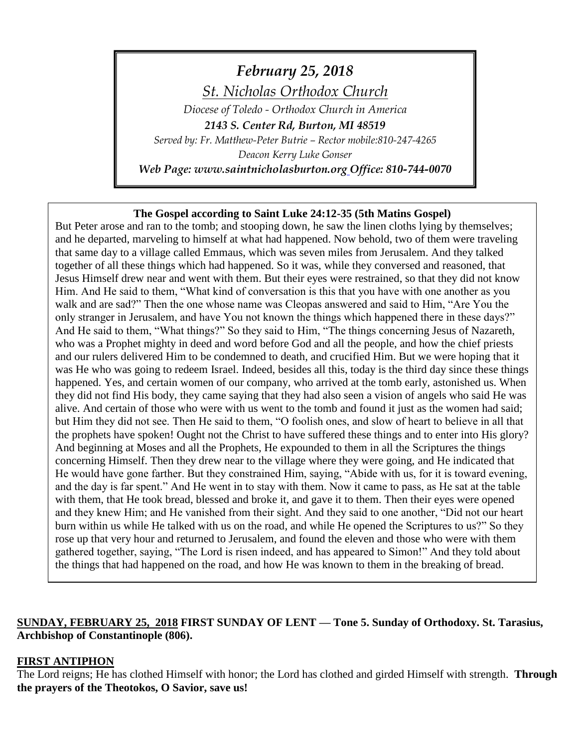# *February 25, 2018*

*St. Nicholas Orthodox Church*

*Diocese of Toledo - Orthodox Church in America 2143 S. Center Rd, Burton, MI 48519*

*Served by: Fr. Matthew-Peter Butrie – Rector mobile:810-247-4265*

*Deacon Kerry Luke Gonser*

*Web Page: www.saintnicholasburton.org Office: 810-744-0070*

#### **The Gospel according to Saint Luke 24:12-35 (5th Matins Gospel)**

But Peter arose and ran to the tomb; and stooping down, he saw the linen cloths lying by themselves; and he departed, marveling to himself at what had happened. Now behold, two of them were traveling that same day to a village called Emmaus, which was seven miles from Jerusalem. And they talked together of all these things which had happened. So it was, while they conversed and reasoned, that Jesus Himself drew near and went with them. But their eyes were restrained, so that they did not know Him. And He said to them, "What kind of conversation is this that you have with one another as you walk and are sad?" Then the one whose name was Cleopas answered and said to Him, "Are You the only stranger in Jerusalem, and have You not known the things which happened there in these days?" And He said to them, "What things?" So they said to Him, "The things concerning Jesus of Nazareth, who was a Prophet mighty in deed and word before God and all the people, and how the chief priests and our rulers delivered Him to be condemned to death, and crucified Him. But we were hoping that it was He who was going to redeem Israel. Indeed, besides all this, today is the third day since these things happened. Yes, and certain women of our company, who arrived at the tomb early, astonished us. When they did not find His body, they came saying that they had also seen a vision of angels who said He was alive. And certain of those who were with us went to the tomb and found it just as the women had said; but Him they did not see. Then He said to them, "O foolish ones, and slow of heart to believe in all that the prophets have spoken! Ought not the Christ to have suffered these things and to enter into His glory? And beginning at Moses and all the Prophets, He expounded to them in all the Scriptures the things concerning Himself. Then they drew near to the village where they were going, and He indicated that He would have gone farther. But they constrained Him, saying, "Abide with us, for it is toward evening, and the day is far spent." And He went in to stay with them. Now it came to pass, as He sat at the table with them, that He took bread, blessed and broke it, and gave it to them. Then their eyes were opened and they knew Him; and He vanished from their sight. And they said to one another, "Did not our heart burn within us while He talked with us on the road, and while He opened the Scriptures to us?" So they rose up that very hour and returned to Jerusalem, and found the eleven and those who were with them gathered together, saying, "The Lord is risen indeed, and has appeared to Simon!" And they told about the things that had happened on the road, and how He was known to them in the breaking of bread.

# **SUNDAY, FEBRUARY 25, 2018 FIRST SUNDAY OF LENT — Tone 5. Sunday of Orthodoxy. St. Tarasius, Archbishop of Constantinople (806).**

### **FIRST ANTIPHON**

The Lord reigns; He has clothed Himself with honor; the Lord has clothed and girded Himself with strength. **Through the prayers of the Theotokos, O Savior, save us!**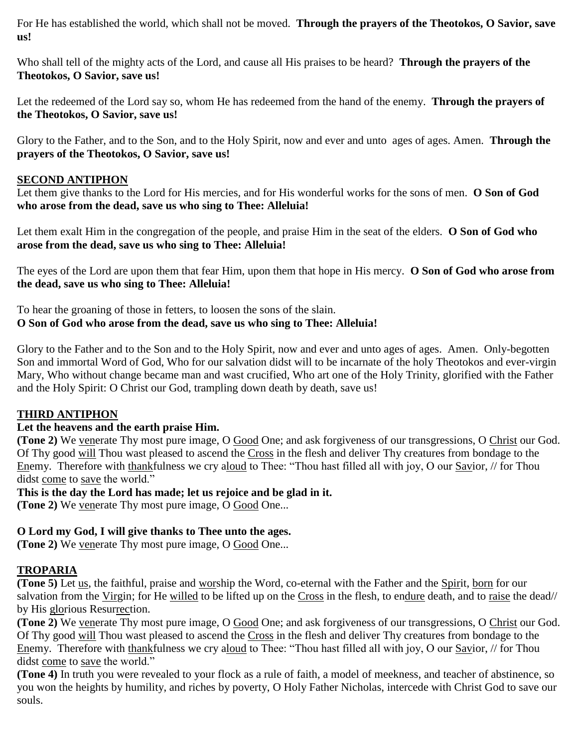For He has established the world, which shall not be moved. **Through the prayers of the Theotokos, O Savior, save us!**

Who shall tell of the mighty acts of the Lord, and cause all His praises to be heard? **Through the prayers of the Theotokos, O Savior, save us!**

Let the redeemed of the Lord say so, whom He has redeemed from the hand of the enemy. **Through the prayers of the Theotokos, O Savior, save us!**

Glory to the Father, and to the Son, and to the Holy Spirit, now and ever and unto ages of ages. Amen. **Through the prayers of the Theotokos, O Savior, save us!**

# **SECOND ANTIPHON**

Let them give thanks to the Lord for His mercies, and for His wonderful works for the sons of men. **O Son of God who arose from the dead, save us who sing to Thee: Alleluia!**

Let them exalt Him in the congregation of the people, and praise Him in the seat of the elders. **O Son of God who arose from the dead, save us who sing to Thee: Alleluia!**

The eyes of the Lord are upon them that fear Him, upon them that hope in His mercy. **O Son of God who arose from the dead, save us who sing to Thee: Alleluia!**

To hear the groaning of those in fetters, to loosen the sons of the slain. **O Son of God who arose from the dead, save us who sing to Thee: Alleluia!**

Glory to the Father and to the Son and to the Holy Spirit, now and ever and unto ages of ages. Amen. Only-begotten Son and immortal Word of God, Who for our salvation didst will to be incarnate of the holy Theotokos and ever-virgin Mary, Who without change became man and wast crucified, Who art one of the Holy Trinity, glorified with the Father and the Holy Spirit: O Christ our God, trampling down death by death, save us!

### **THIRD ANTIPHON**

### **Let the heavens and the earth praise Him.**

**(Tone 2)** We venerate Thy most pure image, O Good One; and ask forgiveness of our transgressions, O Christ our God. Of Thy good will Thou wast pleased to ascend the Cross in the flesh and deliver Thy creatures from bondage to the Enemy. Therefore with thankfulness we cry aloud to Thee: "Thou hast filled all with joy, O our Savior, // for Thou didst come to save the world."

**This is the day the Lord has made; let us rejoice and be glad in it.**

**(Tone 2)** We venerate Thy most pure image, O Good One...

# **O Lord my God, I will give thanks to Thee unto the ages.**

**(Tone 2)** We venerate Thy most pure image, O Good One...

# **TROPARIA**

**(Tone 5)** Let us, the faithful, praise and worship the Word, co-eternal with the Father and the Spirit, born for our salvation from the Virgin; for He willed to be lifted up on the Cross in the flesh, to endure death, and to raise the dead// by His glorious Resurrection.

**(Tone 2)** We venerate Thy most pure image, O Good One; and ask forgiveness of our transgressions, O Christ our God. Of Thy good will Thou wast pleased to ascend the Cross in the flesh and deliver Thy creatures from bondage to the Enemy. Therefore with thankfulness we cry aloud to Thee: "Thou hast filled all with joy, O our Savior, // for Thou didst come to save the world."

**(Tone 4)** In truth you were revealed to your flock as a rule of faith, a model of meekness, and teacher of abstinence, so you won the heights by humility, and riches by poverty, O Holy Father Nicholas, intercede with Christ God to save our souls.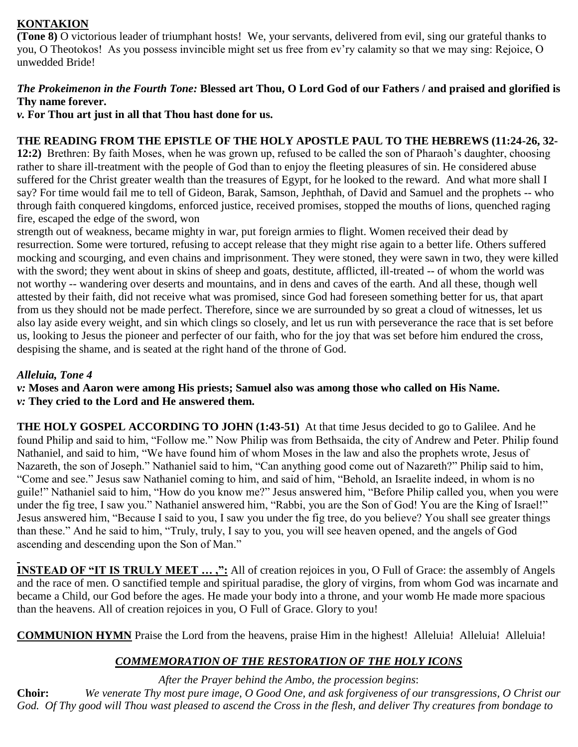# **KONTAKION**

**(Tone 8)** O victorious leader of triumphant hosts! We, your servants, delivered from evil, sing our grateful thanks to you, O Theotokos! As you possess invincible might set us free from ev'ry calamity so that we may sing: Rejoice, O unwedded Bride!

# *The Prokeimenon in the Fourth Tone:* **Blessed art Thou, O Lord God of our Fathers / and praised and glorified is Thy name forever.**

*v.* **For Thou art just in all that Thou hast done for us.**

# **THE READING FROM THE EPISTLE OF THE HOLY APOSTLE PAUL TO THE HEBREWS (11:24-26, 32-**

**12:2)** Brethren: By faith Moses, when he was grown up, refused to be called the son of Pharaoh's daughter, choosing rather to share ill-treatment with the people of God than to enjoy the fleeting pleasures of sin. He considered abuse suffered for the Christ greater wealth than the treasures of Egypt, for he looked to the reward. And what more shall I say? For time would fail me to tell of Gideon, Barak, Samson, Jephthah, of David and Samuel and the prophets -- who through faith conquered kingdoms, enforced justice, received promises, stopped the mouths of lions, quenched raging fire, escaped the edge of the sword, won

strength out of weakness, became mighty in war, put foreign armies to flight. Women received their dead by resurrection. Some were tortured, refusing to accept release that they might rise again to a better life. Others suffered mocking and scourging, and even chains and imprisonment. They were stoned, they were sawn in two, they were killed with the sword; they went about in skins of sheep and goats, destitute, afflicted, ill-treated -- of whom the world was not worthy -- wandering over deserts and mountains, and in dens and caves of the earth. And all these, though well attested by their faith, did not receive what was promised, since God had foreseen something better for us, that apart from us they should not be made perfect. Therefore, since we are surrounded by so great a cloud of witnesses, let us also lay aside every weight, and sin which clings so closely, and let us run with perseverance the race that is set before us, looking to Jesus the pioneer and perfecter of our faith, who for the joy that was set before him endured the cross, despising the shame, and is seated at the right hand of the throne of God.

### *Alleluia, Tone 4*

*v:* **Moses and Aaron were among His priests; Samuel also was among those who called on His Name.** *v:* **They cried to the Lord and He answered them.**

**THE HOLY GOSPEL ACCORDING TO JOHN (1:43-51)** At that time Jesus decided to go to Galilee. And he found Philip and said to him, "Follow me." Now Philip was from Bethsaida, the city of Andrew and Peter. Philip found Nathaniel, and said to him, "We have found him of whom Moses in the law and also the prophets wrote, Jesus of Nazareth, the son of Joseph." Nathaniel said to him, "Can anything good come out of Nazareth?" Philip said to him, "Come and see." Jesus saw Nathaniel coming to him, and said of him, "Behold, an Israelite indeed, in whom is no guile!" Nathaniel said to him, "How do you know me?" Jesus answered him, "Before Philip called you, when you were under the fig tree, I saw you." Nathaniel answered him, "Rabbi, you are the Son of God! You are the King of Israel!" Jesus answered him, "Because I said to you, I saw you under the fig tree, do you believe? You shall see greater things than these." And he said to him, "Truly, truly, I say to you, you will see heaven opened, and the angels of God ascending and descending upon the Son of Man."

**INSTEAD OF "IT IS TRULY MEET ...,":** All of creation rejoices in you, O Full of Grace: the assembly of Angels and the race of men. O sanctified temple and spiritual paradise, the glory of virgins, from whom God was incarnate and became a Child, our God before the ages. He made your body into a throne, and your womb He made more spacious than the heavens. All of creation rejoices in you, O Full of Grace. Glory to you!

**COMMUNION HYMN** Praise the Lord from the heavens, praise Him in the highest! Alleluia! Alleluia! Alleluia!

# *COMMEMORATION OF THE RESTORATION OF THE HOLY ICONS*

*After the Prayer behind the Ambo, the procession begins*: **Choir:** *We venerate Thy most pure image, O Good One, and ask forgiveness of our transgressions, O Christ our God. Of Thy good will Thou wast pleased to ascend the Cross in the flesh, and deliver Thy creatures from bondage to*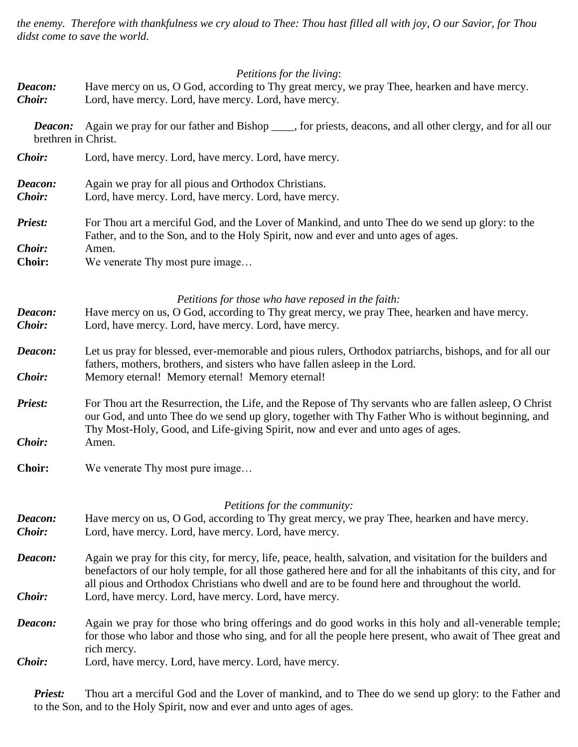*the enemy. Therefore with thankfulness we cry aloud to Thee: Thou hast filled all with joy, O our Savior, for Thou didst come to save the world.*

# *Petitions for the living*:

| Deacon:                        | <i>Petitions for the living:</i><br>Have mercy on us, O God, according to Thy great mercy, we pray Thee, hearken and have mercy.                                                                                                                                                                                                                                                        |  |  |
|--------------------------------|-----------------------------------------------------------------------------------------------------------------------------------------------------------------------------------------------------------------------------------------------------------------------------------------------------------------------------------------------------------------------------------------|--|--|
| <b>Choir:</b>                  | Lord, have mercy. Lord, have mercy. Lord, have mercy.                                                                                                                                                                                                                                                                                                                                   |  |  |
| Deacon:<br>brethren in Christ. | Again we pray for our father and Bishop _____, for priests, deacons, and all other clergy, and for all our                                                                                                                                                                                                                                                                              |  |  |
| Choir:                         | Lord, have mercy. Lord, have mercy. Lord, have mercy.                                                                                                                                                                                                                                                                                                                                   |  |  |
| Deacon:<br>Choir:              | Again we pray for all pious and Orthodox Christians.<br>Lord, have mercy. Lord, have mercy. Lord, have mercy.                                                                                                                                                                                                                                                                           |  |  |
| <b>Priest:</b>                 | For Thou art a merciful God, and the Lover of Mankind, and unto Thee do we send up glory: to the<br>Father, and to the Son, and to the Holy Spirit, now and ever and unto ages of ages.                                                                                                                                                                                                 |  |  |
| Choir:<br><b>Choir:</b>        | Amen.<br>We venerate Thy most pure image                                                                                                                                                                                                                                                                                                                                                |  |  |
| Deacon:<br>Choir:              | Petitions for those who have reposed in the faith:<br>Have mercy on us, O God, according to Thy great mercy, we pray Thee, hearken and have mercy.<br>Lord, have mercy. Lord, have mercy. Lord, have mercy.                                                                                                                                                                             |  |  |
| Deacon:<br>Choir:              | Let us pray for blessed, ever-memorable and pious rulers, Orthodox patriarchs, bishops, and for all our<br>fathers, mothers, brothers, and sisters who have fallen asleep in the Lord.<br>Memory eternal! Memory eternal! Memory eternal!                                                                                                                                               |  |  |
| <b>Priest:</b><br>Choir:       | For Thou art the Resurrection, the Life, and the Repose of Thy servants who are fallen asleep, O Christ<br>our God, and unto Thee do we send up glory, together with Thy Father Who is without beginning, and<br>Thy Most-Holy, Good, and Life-giving Spirit, now and ever and unto ages of ages.<br>Amen.                                                                              |  |  |
| <b>Choir:</b>                  | We venerate Thy most pure image                                                                                                                                                                                                                                                                                                                                                         |  |  |
| Deacon:<br>Choir:              | Petitions for the community:<br>Have mercy on us, O God, according to Thy great mercy, we pray Thee, hearken and have mercy.<br>Lord, have mercy. Lord, have mercy. Lord, have mercy.                                                                                                                                                                                                   |  |  |
| Deacon:<br><i>Choir:</i>       | Again we pray for this city, for mercy, life, peace, health, salvation, and visitation for the builders and<br>benefactors of our holy temple, for all those gathered here and for all the inhabitants of this city, and for<br>all pious and Orthodox Christians who dwell and are to be found here and throughout the world.<br>Lord, have mercy. Lord, have mercy. Lord, have mercy. |  |  |
| Deacon:                        | Again we pray for those who bring offerings and do good works in this holy and all-venerable temple;<br>for those who labor and those who sing, and for all the people here present, who await of Thee great and<br>rich mercy.                                                                                                                                                         |  |  |
| Choir:                         | Lord, have mercy. Lord, have mercy. Lord, have mercy.                                                                                                                                                                                                                                                                                                                                   |  |  |

*Priest:* Thou art a merciful God and the Lover of mankind, and to Thee do we send up glory: to the Father and to the Son, and to the Holy Spirit, now and ever and unto ages of ages.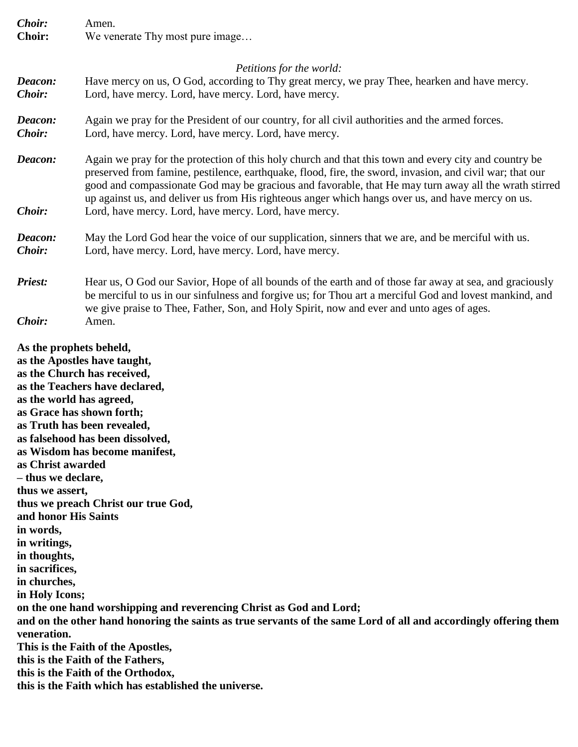| <b>Choir:</b>            | Amen.                                                                                                                                                                                                                                                                                                                                                                                                                                                                                    |  |  |
|--------------------------|------------------------------------------------------------------------------------------------------------------------------------------------------------------------------------------------------------------------------------------------------------------------------------------------------------------------------------------------------------------------------------------------------------------------------------------------------------------------------------------|--|--|
| <b>Choir:</b>            | We venerate Thy most pure image                                                                                                                                                                                                                                                                                                                                                                                                                                                          |  |  |
|                          | Petitions for the world:                                                                                                                                                                                                                                                                                                                                                                                                                                                                 |  |  |
| Deacon:<br><b>Choir:</b> | Have mercy on us, O God, according to Thy great mercy, we pray Thee, hearken and have mercy.<br>Lord, have mercy. Lord, have mercy. Lord, have mercy.                                                                                                                                                                                                                                                                                                                                    |  |  |
| Deacon:<br><b>Choir:</b> | Again we pray for the President of our country, for all civil authorities and the armed forces.<br>Lord, have mercy. Lord, have mercy. Lord, have mercy.                                                                                                                                                                                                                                                                                                                                 |  |  |
| Deacon:<br><b>Choir:</b> | Again we pray for the protection of this holy church and that this town and every city and country be<br>preserved from famine, pestilence, earthquake, flood, fire, the sword, invasion, and civil war; that our<br>good and compassionate God may be gracious and favorable, that He may turn away all the wrath stirred<br>up against us, and deliver us from His righteous anger which hangs over us, and have mercy on us.<br>Lord, have mercy. Lord, have mercy. Lord, have mercy. |  |  |
| Deacon:<br><b>Choir:</b> | May the Lord God hear the voice of our supplication, sinners that we are, and be merciful with us.<br>Lord, have mercy. Lord, have mercy. Lord, have mercy.                                                                                                                                                                                                                                                                                                                              |  |  |
| Priest:                  | Hear us, O God our Savior, Hope of all bounds of the earth and of those far away at sea, and graciously<br>be merciful to us in our sinfulness and forgive us; for Thou art a merciful God and lovest mankind, and<br>we give praise to Thee, Father, Son, and Holy Spirit, now and ever and unto ages of ages.                                                                                                                                                                          |  |  |
| Choir:                   | Amen.                                                                                                                                                                                                                                                                                                                                                                                                                                                                                    |  |  |

**As the prophets beheld,** 

**as the Apostles have taught, as the Church has received, as the Teachers have declared, as the world has agreed, as Grace has shown forth; as Truth has been revealed, as falsehood has been dissolved, as Wisdom has become manifest, as Christ awarded – thus we declare, thus we assert, thus we preach Christ our true God, and honor His Saints in words, in writings, in thoughts, in sacrifices, in churches, in Holy Icons; on the one hand worshipping and reverencing Christ as God and Lord; and on the other hand honoring the saints as true servants of the same Lord of all and accordingly offering them veneration. This is the Faith of the Apostles, this is the Faith of the Fathers, this is the Faith of the Orthodox, this is the Faith which has established the universe.**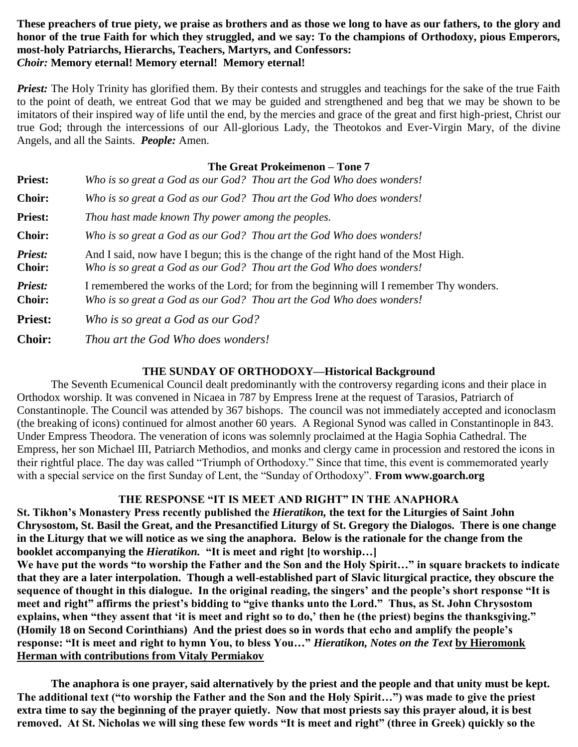#### **These preachers of true piety, we praise as brothers and as those we long to have as our fathers, to the glory and honor of the true Faith for which they struggled, and we say: To the champions of Orthodoxy, pious Emperors, most-holy Patriarchs, Hierarchs, Teachers, Martyrs, and Confessors:** *Choir:* **Memory eternal! Memory eternal! Memory eternal!**

*Priest:* The Holy Trinity has glorified them. By their contests and struggles and teachings for the sake of the true Faith to the point of death, we entreat God that we may be guided and strengthened and beg that we may be shown to be imitators of their inspired way of life until the end, by the mercies and grace of the great and first high-priest, Christ our true God; through the intercessions of our All-glorious Lady, the Theotokos and Ever-Virgin Mary, of the divine Angels, and all the Saints. *People:* Amen.

#### **The Great Prokeimenon – Tone 7**

| <b>Priest:</b>           | Who is so great a God as our God? Thou art the God Who does wonders!                                                                                            |  |
|--------------------------|-----------------------------------------------------------------------------------------------------------------------------------------------------------------|--|
| <b>Choir:</b>            | Who is so great a God as our God? Thou art the God Who does wonders!                                                                                            |  |
| <b>Priest:</b>           | Thou hast made known Thy power among the peoples.                                                                                                               |  |
| <b>Choir:</b>            | Who is so great a God as our God? Thou art the God Who does wonders!                                                                                            |  |
| Priest:<br><b>Choir:</b> | And I said, now have I begun; this is the change of the right hand of the Most High.<br>Who is so great a God as our God? Thou art the God Who does wonders!    |  |
| Priest:<br><b>Choir:</b> | I remembered the works of the Lord; for from the beginning will I remember Thy wonders.<br>Who is so great a God as our God? Thou art the God Who does wonders! |  |
| <b>Priest:</b>           | Who is so great a God as our God?                                                                                                                               |  |
| <b>Choir:</b>            | Thou art the God Who does wonders!                                                                                                                              |  |

#### **THE SUNDAY OF ORTHODOXY—Historical Background**

The Seventh Ecumenical Council dealt predominantly with the controversy regarding icons and their place in Orthodox worship. It was convened in Nicaea in 787 by Empress Irene at the request of Tarasios, Patriarch of Constantinople. The Council was attended by 367 bishops. The council was not immediately accepted and iconoclasm (the breaking of icons) continued for almost another 60 years. A Regional Synod was called in Constantinople in 843. Under Empress Theodora. The veneration of icons was solemnly proclaimed at the Hagia Sophia Cathedral. The Empress, her son Michael III, Patriarch Methodios, and monks and clergy came in procession and restored the icons in their rightful place. The day was called "Triumph of Orthodoxy." Since that time, this event is commemorated yearly with a special service on the first Sunday of Lent, the "Sunday of Orthodoxy". **From www.goarch.org**

## **THE RESPONSE "IT IS MEET AND RIGHT" IN THE ANAPHORA**

**St. Tikhon's Monastery Press recently published the** *Hieratikon,* **the text for the Liturgies of Saint John Chrysostom, St. Basil the Great, and the Presanctified Liturgy of St. Gregory the Dialogos. There is one change in the Liturgy that we will notice as we sing the anaphora. Below is the rationale for the change from the booklet accompanying the** *Hieratikon.* **"It is meet and right [to worship…]**

**We have put the words "to worship the Father and the Son and the Holy Spirit…" in square brackets to indicate that they are a later interpolation. Though a well-established part of Slavic liturgical practice, they obscure the sequence of thought in this dialogue. In the original reading, the singers' and the people's short response "It is meet and right" affirms the priest's bidding to "give thanks unto the Lord." Thus, as St. John Chrysostom explains, when "they assent that 'it is meet and right so to do,' then he (the priest) begins the thanksgiving." (Homily 18 on Second Corinthians) And the priest does so in words that echo and amplify the people's response: "It is meet and right to hymn You, to bless You…"** *Hieratikon, Notes on the Text* **by Hieromonk Herman with contributions from Vitaly Permiakov**

**The anaphora is one prayer, said alternatively by the priest and the people and that unity must be kept. The additional text ("to worship the Father and the Son and the Holy Spirit…") was made to give the priest extra time to say the beginning of the prayer quietly. Now that most priests say this prayer aloud, it is best removed. At St. Nicholas we will sing these few words "It is meet and right" (three in Greek) quickly so the**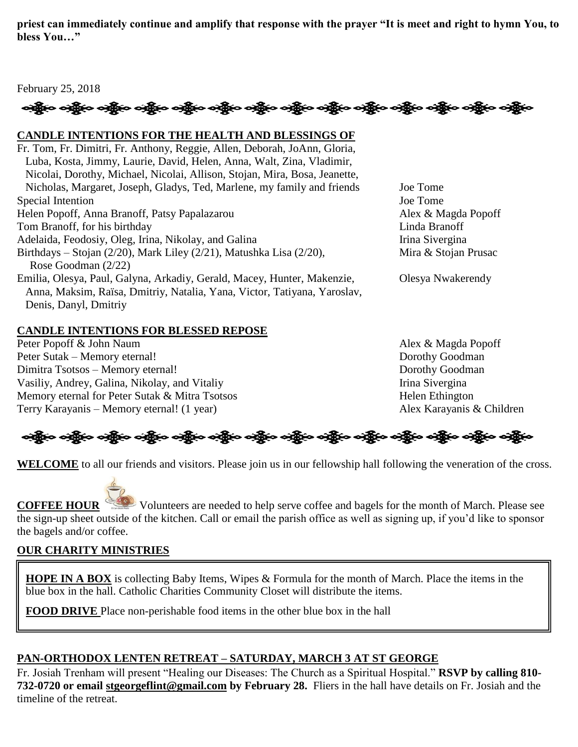**priest can immediately continue and amplify that response with the prayer "It is meet and right to hymn You, to bless You…"**

## February 25, 2018

# ခရွို့က ခရွိက ခရွိက သို့သော သို့သည်။ ခရွိက ခရွိက ခရွိက ခရွိက သို့သည်။ သို့သည်။ ခရွိက ခရွိက ခရွိက

## **CANDLE INTENTIONS FOR THE HEALTH AND BLESSINGS OF**

Fr. Tom, Fr. Dimitri, Fr. Anthony, Reggie, Allen, Deborah, JoAnn, Gloria, Luba, Kosta, Jimmy, Laurie, David, Helen, Anna, Walt, Zina, Vladimir, Nicolai, Dorothy, Michael, Nicolai, Allison, Stojan, Mira, Bosa, Jeanette, Nicholas, Margaret, Joseph, Gladys, Ted, Marlene, my family and friends Joe Tome Special Intention Joe Tome Helen Popoff, Anna Branoff, Patsy Papalazarou Alex & Magda Popoff Tom Branoff, for his birthday Linda Branoff Adelaida, Feodosiy, Oleg, Irina, Nikolay, and Galina Irina Sivergina Birthdays – Stojan (2/20), Mark Liley (2/21), Matushka Lisa (2/20), Mira & Stojan Prusac Rose Goodman (2/22) Emilia, Olesya, Paul, Galyna, Arkadiy, Gerald, Macey, Hunter, Makenzie, Olesya Nwakerendy Anna, Maksim, Raïsa, Dmitriy, Natalia, Yana, Victor, Tatiyana, Yaroslav, Denis, Danyl, Dmitriy

# **CANDLE INTENTIONS FOR BLESSED REPOSE**

Peter Popoff & John Naum **Alex & Magda Popoff** Peter Sutak – Memory eternal! Dorothy Goodman Dimitra Tsotsos – Memory eternal! Dorothy Goodman Vasiliy, Andrey, Galina, Nikolay, and Vitaliy **Irina Sivergina** Irina Sivergina Memory eternal for Peter Sutak & Mitra Tsotsos Helen Ethington Terry Karayanis – Memory eternal! (1 year) Alex Karayanis & Children



**WELCOME** to all our friends and visitors. Please join us in our fellowship hall following the veneration of the cross.

**COFFEE HOUR** Volunteers are needed to help serve coffee and bagels for the month of March. Please see the sign-up sheet outside of the kitchen. Call or email the parish office as well as signing up, if you'd like to sponsor the bagels and/or coffee.

# **OUR CHARITY MINISTRIES**

**HOPE IN A BOX** is collecting Baby Items, Wipes & Formula for the month of March. Place the items in the blue box in the hall. Catholic Charities Community Closet will distribute the items.

**FOOD DRIVE** Place non-perishable food items in the other blue box in the hall

# **PAN-ORTHODOX LENTEN RETREAT – SATURDAY, MARCH 3 AT ST GEORGE**

Fr. Josiah Trenham will present "Healing our Diseases: The Church as a Spiritual Hospital." **RSVP by calling 810- 732-0720 or email [stgeorgeflint@gmail.com](mailto:stgeorgeflint@gmail.com) by February 28.** Fliers in the hall have details on Fr. Josiah and the timeline of the retreat.